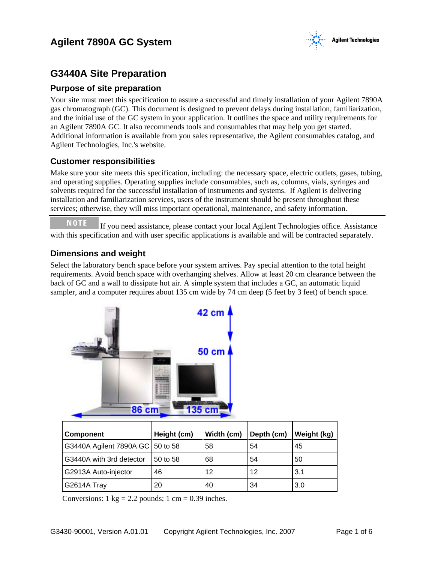# **Agilent 7890A GC System**



# **G3440A Site Preparation**

### **Purpose of site preparation**

Your site must meet this specification to assure a successful and timely installation of your Agilent 7890A gas chromatograph (GC). This document is designed to prevent delays during installation, familiarization, and the initial use of the GC system in your application. It outlines the space and utility requirements for an Agilent 7890A GC. It also recommends tools and consumables that may help you get started. Additional information is available from you sales representative, the Agilent consumables catalog, and Agilent Technologies, Inc.'s website.

### **Customer responsibilities**

Make sure your site meets this specification, including: the necessary space, electric outlets, gases, tubing, and operating supplies. Operating supplies include consumables, such as, columns, vials, syringes and solvents required for the successful installation of instruments and systems. If Agilent is delivering installation and familiarization services, users of the instrument should be present throughout these services; otherwise, they will miss important operational, maintenance, and safety information.

**NOTE**  If you need assistance, please contact your local Agilent Technologies office. Assistance with this specification and with user specific applications is available and will be contracted separately.

## **Dimensions and weight**

Select the laboratory bench space before your system arrives. Pay special attention to the total height requirements. Avoid bench space with overhanging shelves. Allow at least 20 cm clearance between the back of GC and a wall to dissipate hot air. A simple system that includes a GC, an automatic liquid sampler, and a computer requires about 135 cm wide by 74 cm deep (5 feet by 3 feet) of bench space.



| Component                        | Height (cm) | Width (cm) | Depth (cm) | Weight (kg) |
|----------------------------------|-------------|------------|------------|-------------|
| G3440A Agilent 7890A GC 50 to 58 |             | 58         | 54         | 45          |
| G3440A with 3rd detector         | 50 to 58    | 68         | 54         | 50          |
| G2913A Auto-injector             | 46          | 12         | 12         | 3.1         |
| G2614A Tray                      | 20          | 40         | 34         | 3.0         |

Conversions:  $1 \text{ kg} = 2.2 \text{ pounds}; 1 \text{ cm} = 0.39 \text{ inches}.$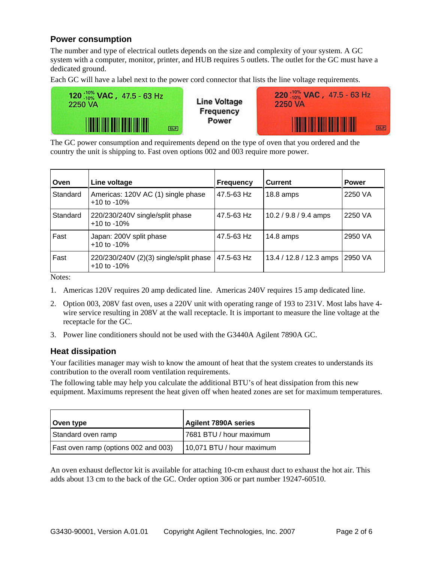# **Power consumption**

The number and type of electrical outlets depends on the size and complexity of your system. A GC system with a computer, monitor, printer, and HUB requires 5 outlets. The outlet for the GC must have a dedicated ground.

Each GC will have a label next to the power cord connector that lists the line voltage requirements.



**Line Voltage** Frequency Power



The GC power consumption and requirements depend on the type of oven that you ordered and the country the unit is shipping to. Fast oven options 002 and 003 require more power.

| Oven     | Line voltage                                               | <b>Frequency</b> | <b>Current</b>          | <b>Power</b> |
|----------|------------------------------------------------------------|------------------|-------------------------|--------------|
| Standard | Americas: 120V AC (1) single phase<br>$+10$ to $-10\%$     | 47.5-63 Hz       | $18.8 \text{ amps}$     | 2250 VA      |
| Standard | 220/230/240V single/split phase<br>$+10$ to $-10\%$        | 47.5-63 Hz       | $10.2 / 9.8 / 9.4$ amps | 2250 VA      |
| Fast     | Japan: 200V split phase<br>$+10$ to $-10\%$                | 47.5-63 Hz       | $14.8 \text{ amps}$     | 2950 VA      |
| Fast     | 220/230/240V (2)(3) single/split phase<br>$+10$ to $-10\%$ | 47.5-63 Hz       | 13.4 / 12.8 / 12.3 amps | 2950 VA      |

Notes:

- 1. Americas 120V requires 20 amp dedicated line. Americas 240V requires 15 amp dedicated line.
- 2. Option 003, 208V fast oven, uses a 220V unit with operating range of 193 to 231V. Most labs have 4 wire service resulting in 208V at the wall receptacle. It is important to measure the line voltage at the receptacle for the GC.
- 3. Power line conditioners should not be used with the G3440A Agilent 7890A GC.

### **Heat dissipation**

Your facilities manager may wish to know the amount of heat that the system creates to understands its contribution to the overall room ventilation requirements.

The following table may help you calculate the additional BTU's of heat dissipation from this new equipment. Maximums represent the heat given off when heated zones are set for maximum temperatures.

| Oven type                            | Agilent 7890A series      |
|--------------------------------------|---------------------------|
| Standard oven ramp                   | l 7681 BTU / hour maximum |
| Fast oven ramp (options 002 and 003) | 10,071 BTU / hour maximum |

An oven exhaust deflector kit is available for attaching 10-cm exhaust duct to exhaust the hot air. This adds about 13 cm to the back of the GC. Order option 306 or part number 19247-60510.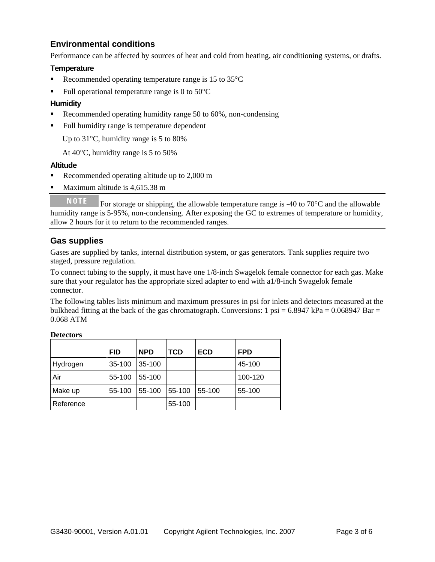# **Environmental conditions**

Performance can be affected by sources of heat and cold from heating, air conditioning systems, or drafts.

#### **Temperature**

- Recommended operating temperature range is  $15$  to  $35^{\circ}$ C
- Full operational temperature range is 0 to  $50^{\circ}$ C

#### **Humidity**

- Recommended operating humidity range 50 to 60%, non-condensing
- Full humidity range is temperature dependent

Up to 31°C, humidity range is 5 to 80%

At 40°C, humidity range is 5 to 50%

#### **Altitude**

- Recommended operating altitude up to 2,000 m
- Maximum altitude is 4,615.38 m

**NOTE** For storage or shipping, the allowable temperature range is -40 to  $70^{\circ}$ C and the allowable humidity range is 5-95%, non-condensing. After exposing the GC to extremes of temperature or humidity, allow 2 hours for it to return to the recommended ranges.

### **Gas supplies**

Gases are supplied by tanks, internal distribution system, or gas generators. Tank supplies require two staged, pressure regulation.

To connect tubing to the supply, it must have one 1/8-inch Swagelok female connector for each gas. Make sure that your regulator has the appropriate sized adapter to end with a1/8-inch Swagelok female connector.

The following tables lists minimum and maximum pressures in psi for inlets and detectors measured at the bulkhead fitting at the back of the gas chromatograph. Conversions: 1 psi =  $6.8947$  kPa =  $0.068947$  Bar = 0.068 ATM

|           | <b>FID</b> | <b>NPD</b> | <b>TCD</b> | <b>ECD</b> | <b>FPD</b> |
|-----------|------------|------------|------------|------------|------------|
| Hydrogen  | 35-100     | 35-100     |            |            | 45-100     |
| Air       | 55-100     | 55-100     |            |            | 100-120    |
| Make up   | 55-100     | 55-100     | 55-100     | 55-100     | 55-100     |
| Reference |            |            | 55-100     |            |            |

#### **Detectors**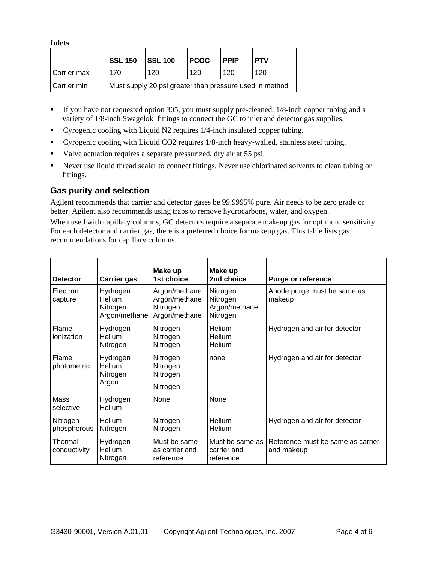**Inlets** 

|               | <b>SSL 150</b>                                          | <b>SSL 100</b> | <b>PCOC</b> | <b>PPIP</b> | <b>PTV</b> |
|---------------|---------------------------------------------------------|----------------|-------------|-------------|------------|
| l Carrier max | 170                                                     | 120            | 120         | 120         | 120        |
| Carrier min   | Must supply 20 psi greater than pressure used in method |                |             |             |            |

- If you have not requested option 305, you must supply pre-cleaned, 1/8-inch copper tubing and a variety of 1/8-inch Swagelok fittings to connect the GC to inlet and detector gas supplies.
- Cyrogenic cooling with Liquid N2 requires 1/4-inch insulated copper tubing.
- Cyrogenic cooling with Liquid CO2 requires 1/8-inch heavy-walled, stainless steel tubing.
- Valve actuation requires a separate pressurized, dry air at 55 psi.
- Never use liquid thread sealer to connect fittings. Never use chlorinated solvents to clean tubing or fittings.

# **Gas purity and selection**

Agilent recommends that carrier and detector gases be 99.9995% pure. Air needs to be zero grade or better. Agilent also recommends using traps to remove hydrocarbons, water, and oxygen.

When used with capillary columns, GC detectors require a separate makeup gas for optimum sensitivity. For each detector and carrier gas, there is a preferred choice for makeup gas. This table lists gas recommendations for capillary columns.

| <b>Detector</b>         | <b>Carrier gas</b>                              | Make up<br>1st choice                                       | Make up<br>2nd choice                             | <b>Purge or reference</b>                       |
|-------------------------|-------------------------------------------------|-------------------------------------------------------------|---------------------------------------------------|-------------------------------------------------|
| Electron<br>capture     | Hydrogen<br>Helium<br>Nitrogen<br>Argon/methane | Argon/methane<br>Argon/methane<br>Nitrogen<br>Argon/methane | Nitrogen<br>Nitrogen<br>Argon/methane<br>Nitrogen | Anode purge must be same as<br>makeup           |
| Flame<br>ionization     | Hydrogen<br>Helium<br>Nitrogen                  | Nitrogen<br>Nitrogen<br>Nitrogen                            | Helium<br>Helium<br>Helium                        | Hydrogen and air for detector                   |
| Flame<br>photometric    | Hydrogen<br>Helium<br>Nitrogen<br>Argon         | Nitrogen<br>Nitrogen<br>Nitrogen<br>Nitrogen                | none                                              | Hydrogen and air for detector                   |
| Mass<br>selective       | Hydrogen<br><b>Helium</b>                       | None                                                        | None                                              |                                                 |
| Nitrogen<br>phosphorous | Helium<br>Nitrogen                              | Nitrogen<br>Nitrogen                                        | <b>Helium</b><br><b>Helium</b>                    | Hydrogen and air for detector                   |
| Thermal<br>conductivity | Hydrogen<br><b>Helium</b><br>Nitrogen           | Must be same<br>as carrier and<br>reference                 | Must be same as  <br>carrier and<br>reference     | Reference must be same as carrier<br>and makeup |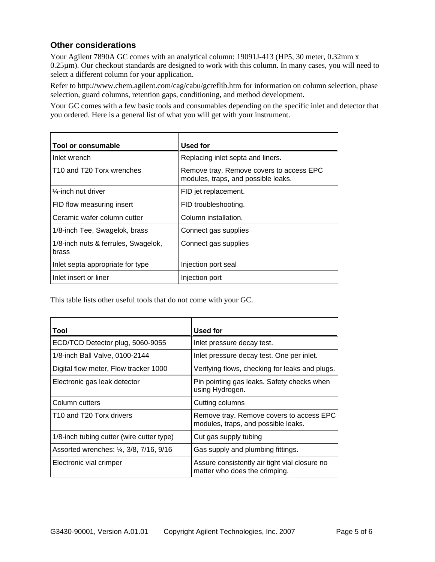# **Other considerations**

Your Agilent 7890A GC comes with an analytical column: 19091J-413 (HP5, 30 meter, 0.32mm x 0.25µm). Our checkout standards are designed to work with this column. In many cases, you will need to select a different column for your application.

Refer to http://www.chem.agilent.com/cag/cabu/gcreflib.htm for information on column selection, phase selection, guard columns, retention gaps, conditioning, and method development.

Your GC comes with a few basic tools and consumables depending on the specific inlet and detector that you ordered. Here is a general list of what you will get with your instrument.

| Tool or consumable                                | <b>Used for</b>                                                                 |
|---------------------------------------------------|---------------------------------------------------------------------------------|
| Inlet wrench                                      | Replacing inlet septa and liners.                                               |
| T <sub>10</sub> and T <sub>20</sub> Torx wrenches | Remove tray. Remove covers to access EPC<br>modules, traps, and possible leaks. |
| $\frac{1}{4}$ -inch nut driver                    | FID jet replacement.                                                            |
| FID flow measuring insert                         | FID troubleshooting.                                                            |
| Ceramic wafer column cutter                       | Column installation.                                                            |
| 1/8-inch Tee, Swagelok, brass                     | Connect gas supplies                                                            |
| 1/8-inch nuts & ferrules, Swagelok,<br>brass      | Connect gas supplies                                                            |
| Inlet septa appropriate for type                  | Injection port seal                                                             |
| Inlet insert or liner                             | Injection port                                                                  |

This table lists other useful tools that do not come with your GC.

| Tool                                      | Used for                                                                        |
|-------------------------------------------|---------------------------------------------------------------------------------|
| ECD/TCD Detector plug, 5060-9055          | Inlet pressure decay test.                                                      |
| 1/8-inch Ball Valve, 0100-2144            | Inlet pressure decay test. One per inlet.                                       |
| Digital flow meter, Flow tracker 1000     | Verifying flows, checking for leaks and plugs.                                  |
| Electronic gas leak detector              | Pin pointing gas leaks. Safety checks when<br>using Hydrogen.                   |
| Column cutters                            | Cutting columns                                                                 |
| T10 and T20 Torx drivers                  | Remove tray. Remove covers to access EPC<br>modules, traps, and possible leaks. |
| 1/8-inch tubing cutter (wire cutter type) | Cut gas supply tubing                                                           |
| Assorted wrenches: 1/4, 3/8, 7/16, 9/16   | Gas supply and plumbing fittings.                                               |
| Electronic vial crimper                   | Assure consistently air tight vial closure no<br>matter who does the crimping.  |